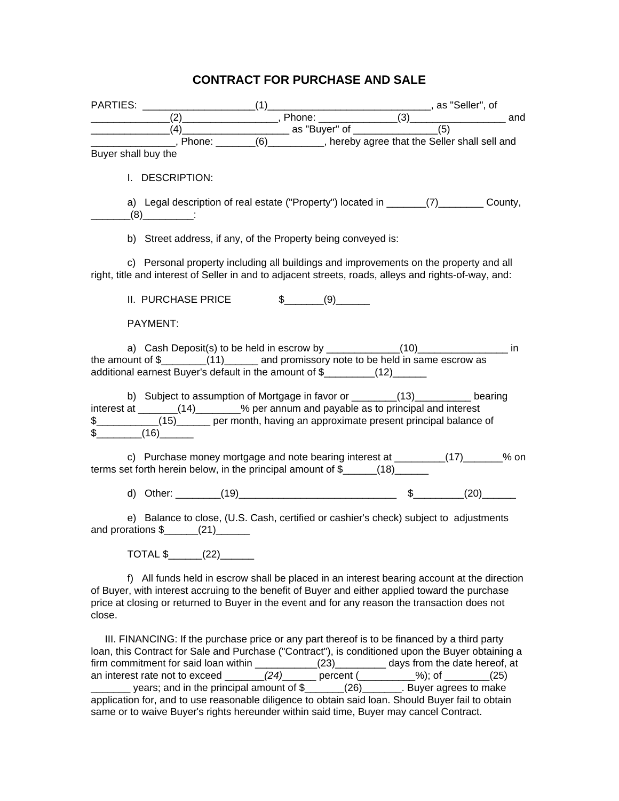## **CONTRACT FOR PURCHASE AND SALE**

| PARTIES: PARTIES:   |                                   |                                                                                                                                              |                   |  |  |
|---------------------|-----------------------------------|----------------------------------------------------------------------------------------------------------------------------------------------|-------------------|--|--|
|                     |                                   |                                                                                                                                              |                   |  |  |
|                     |                                   |                                                                                                                                              |                   |  |  |
|                     |                                   | Fhone: (6) Refer be that the Seller shall sell and                                                                                           |                   |  |  |
| Buyer shall buy the |                                   |                                                                                                                                              |                   |  |  |
|                     |                                   |                                                                                                                                              |                   |  |  |
|                     | I. DESCRIPTION:                   |                                                                                                                                              |                   |  |  |
|                     |                                   |                                                                                                                                              |                   |  |  |
|                     |                                   | a) Legal description of real estate ("Property") located in ________(7)__________ County,                                                    |                   |  |  |
|                     | $(8)$ :                           |                                                                                                                                              |                   |  |  |
|                     |                                   | b) Street address, if any, of the Property being conveyed is:                                                                                |                   |  |  |
|                     |                                   |                                                                                                                                              |                   |  |  |
|                     |                                   | c) Personal property including all buildings and improvements on the property and all                                                        |                   |  |  |
|                     |                                   | right, title and interest of Seller in and to adjacent streets, roads, alleys and rights-of-way, and:                                        |                   |  |  |
|                     |                                   |                                                                                                                                              |                   |  |  |
|                     | II. PURCHASE PRICE                |                                                                                                                                              | $\frac{1}{2}$ (9) |  |  |
|                     |                                   |                                                                                                                                              |                   |  |  |
|                     | PAYMENT:                          |                                                                                                                                              |                   |  |  |
|                     |                                   | a) Cash Deposit(s) to be held in escrow by ______________(10)___________________ in                                                          |                   |  |  |
|                     |                                   | the amount of \$________(11)_______ and promissory note to be held in same escrow as                                                         |                   |  |  |
|                     |                                   | additional earnest Buyer's default in the amount of \$_________(12)______                                                                    |                   |  |  |
|                     |                                   |                                                                                                                                              |                   |  |  |
|                     |                                   | b) Subject to assumption of Mortgage in favor or ________(13)_________ bearing                                                               |                   |  |  |
|                     |                                   | interest at _______(14)________% per annum and payable as to principal and interest                                                          |                   |  |  |
|                     |                                   | \$___________(15)______ per month, having an approximate present principal balance of                                                        |                   |  |  |
|                     | $\frac{1}{2}$ (16)                |                                                                                                                                              |                   |  |  |
|                     |                                   | c) Purchase money mortgage and note bearing interest at ________(17)______% on                                                               |                   |  |  |
|                     |                                   | terms set forth herein below, in the principal amount of \$______(18)______                                                                  |                   |  |  |
|                     |                                   |                                                                                                                                              |                   |  |  |
|                     |                                   |                                                                                                                                              |                   |  |  |
|                     |                                   |                                                                                                                                              |                   |  |  |
|                     |                                   | e) Balance to close, (U.S. Cash, certified or cashier's check) subject to adjustments                                                        |                   |  |  |
|                     | and prorations $\frac{1}{2}$ (21) |                                                                                                                                              |                   |  |  |
|                     |                                   |                                                                                                                                              |                   |  |  |
|                     | TOTAL \$_____(22)____             |                                                                                                                                              |                   |  |  |
|                     |                                   | f) All funds held in escrow shall be placed in an interest bearing account at the direction                                                  |                   |  |  |
|                     |                                   | of Buyer, with interest accruing to the benefit of Buyer and either applied toward the purchase                                              |                   |  |  |
|                     |                                   | price at closing or returned to Buyer in the event and for any reason the transaction does not                                               |                   |  |  |
| close.              |                                   |                                                                                                                                              |                   |  |  |
|                     |                                   |                                                                                                                                              |                   |  |  |
|                     |                                   | III. FINANCING: If the purchase price or any part thereof is to be financed by a third party                                                 |                   |  |  |
|                     |                                   | loan, this Contract for Sale and Purchase ("Contract"), is conditioned upon the Buyer obtaining a                                            |                   |  |  |
|                     |                                   | firm commitment for said loan within $(23)$ days from the date hereof, at<br>an interest rate not to exceed $(24)$ percent $($ %); of $(25)$ |                   |  |  |
|                     |                                   |                                                                                                                                              |                   |  |  |

 $\frac{1}{2}$  years; and in the principal amount of  $\frac{1}{2}$   $\frac{1}{2}$   $\frac{1}{2}$   $\frac{1}{2}$  Buyer agrees to make application for, and to use reasonable diligence to obtain said loan. Should Buyer fail to obtain same or to waive Buyer's rights hereunder within said time, Buyer may cancel Contract.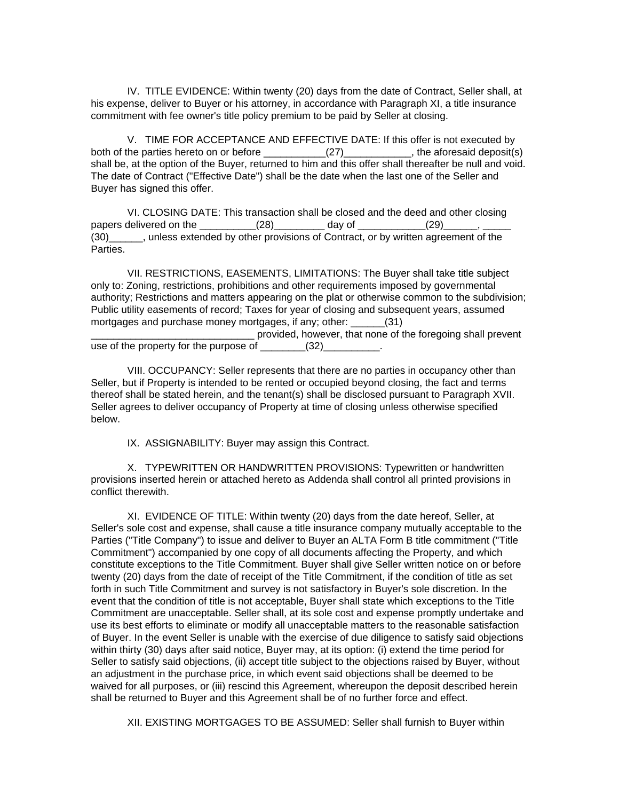IV. TITLE EVIDENCE: Within twenty (20) days from the date of Contract, Seller shall, at his expense, deliver to Buyer or his attorney, in accordance with Paragraph XI, a title insurance commitment with fee owner's title policy premium to be paid by Seller at closing.

V. TIME FOR ACCEPTANCE AND EFFECTIVE DATE: If this offer is not executed by both of the parties hereto on or before \_\_\_\_\_\_\_\_\_\_\_\_\_\_\_\_\_\_\_\_\_\_\_\_\_\_\_\_\_\_, the aforesaid deposit(s) shall be, at the option of the Buyer, returned to him and this offer shall thereafter be null and void. The date of Contract ("Effective Date") shall be the date when the last one of the Seller and Buyer has signed this offer.

VI. CLOSING DATE: This transaction shall be closed and the deed and other closing papers delivered on the \_\_\_\_\_\_\_\_\_\_\_(28)\_\_\_\_\_\_\_\_\_\_ day of \_\_\_\_\_\_\_\_\_\_\_(29)\_ (30)\_\_\_\_\_\_, unless extended by other provisions of Contract, or by written agreement of the Parties.

VII. RESTRICTIONS, EASEMENTS, LIMITATIONS: The Buyer shall take title subject only to: Zoning, restrictions, prohibitions and other requirements imposed by governmental authority; Restrictions and matters appearing on the plat or otherwise common to the subdivision; Public utility easements of record; Taxes for year of closing and subsequent years, assumed mortgages and purchase money mortgages, if any; other: \_\_\_\_\_\_(31)

provided, however, that none of the foregoing shall prevent use of the property for the purpose of  $(32)$ 

VIII. OCCUPANCY: Seller represents that there are no parties in occupancy other than Seller, but if Property is intended to be rented or occupied beyond closing, the fact and terms thereof shall be stated herein, and the tenant(s) shall be disclosed pursuant to Paragraph XVII. Seller agrees to deliver occupancy of Property at time of closing unless otherwise specified below.

IX. ASSIGNABILITY: Buyer may assign this Contract.

X. TYPEWRITTEN OR HANDWRITTEN PROVISIONS: Typewritten or handwritten provisions inserted herein or attached hereto as Addenda shall control all printed provisions in conflict therewith.

XI. EVIDENCE OF TITLE: Within twenty (20) days from the date hereof, Seller, at Seller's sole cost and expense, shall cause a title insurance company mutually acceptable to the Parties ("Title Company") to issue and deliver to Buyer an ALTA Form B title commitment ("Title Commitment") accompanied by one copy of all documents affecting the Property, and which constitute exceptions to the Title Commitment. Buyer shall give Seller written notice on or before twenty (20) days from the date of receipt of the Title Commitment, if the condition of title as set forth in such Title Commitment and survey is not satisfactory in Buyer's sole discretion. In the event that the condition of title is not acceptable, Buyer shall state which exceptions to the Title Commitment are unacceptable. Seller shall, at its sole cost and expense promptly undertake and use its best efforts to eliminate or modify all unacceptable matters to the reasonable satisfaction of Buyer. In the event Seller is unable with the exercise of due diligence to satisfy said objections within thirty (30) days after said notice, Buyer may, at its option: (i) extend the time period for Seller to satisfy said objections, (ii) accept title subject to the objections raised by Buyer, without an adjustment in the purchase price, in which event said objections shall be deemed to be waived for all purposes, or (iii) rescind this Agreement, whereupon the deposit described herein shall be returned to Buyer and this Agreement shall be of no further force and effect.

XII. EXISTING MORTGAGES TO BE ASSUMED: Seller shall furnish to Buyer within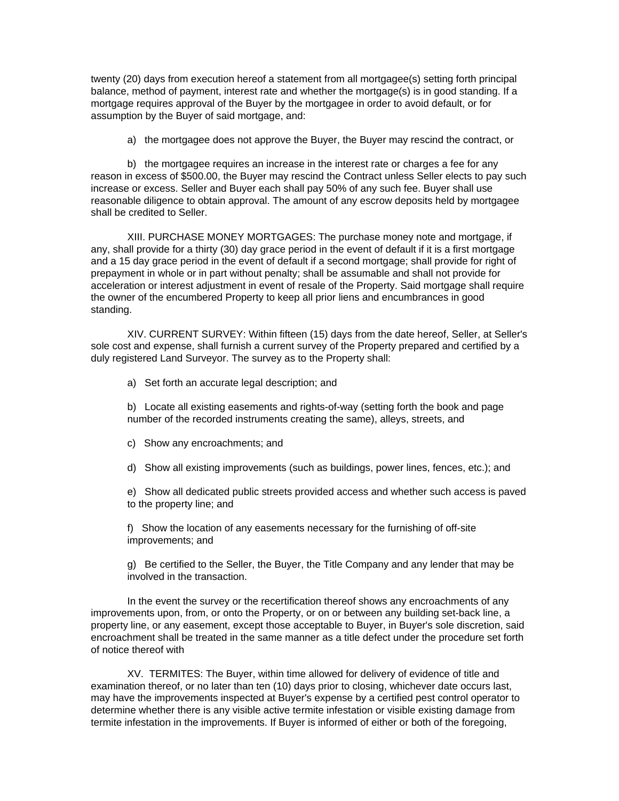twenty (20) days from execution hereof a statement from all mortgagee(s) setting forth principal balance, method of payment, interest rate and whether the mortgage(s) is in good standing. If a mortgage requires approval of the Buyer by the mortgagee in order to avoid default, or for assumption by the Buyer of said mortgage, and:

a) the mortgagee does not approve the Buyer, the Buyer may rescind the contract, or

b) the mortgagee requires an increase in the interest rate or charges a fee for any reason in excess of \$500.00, the Buyer may rescind the Contract unless Seller elects to pay such increase or excess. Seller and Buyer each shall pay 50% of any such fee. Buyer shall use reasonable diligence to obtain approval. The amount of any escrow deposits held by mortgagee shall be credited to Seller.

XIII. PURCHASE MONEY MORTGAGES: The purchase money note and mortgage, if any, shall provide for a thirty (30) day grace period in the event of default if it is a first mortgage and a 15 day grace period in the event of default if a second mortgage; shall provide for right of prepayment in whole or in part without penalty; shall be assumable and shall not provide for acceleration or interest adjustment in event of resale of the Property. Said mortgage shall require the owner of the encumbered Property to keep all prior liens and encumbrances in good standing.

XIV. CURRENT SURVEY: Within fifteen (15) days from the date hereof, Seller, at Seller's sole cost and expense, shall furnish a current survey of the Property prepared and certified by a duly registered Land Surveyor. The survey as to the Property shall:

a) Set forth an accurate legal description; and

b) Locate all existing easements and rights-of-way (setting forth the book and page number of the recorded instruments creating the same), alleys, streets, and

- c) Show any encroachments; and
- d) Show all existing improvements (such as buildings, power lines, fences, etc.); and

e) Show all dedicated public streets provided access and whether such access is paved to the property line; and

f) Show the location of any easements necessary for the furnishing of off-site improvements; and

g) Be certified to the Seller, the Buyer, the Title Company and any lender that may be involved in the transaction.

In the event the survey or the recertification thereof shows any encroachments of any improvements upon, from, or onto the Property, or on or between any building set-back line, a property line, or any easement, except those acceptable to Buyer, in Buyer's sole discretion, said encroachment shall be treated in the same manner as a title defect under the procedure set forth of notice thereof with

XV. TERMITES: The Buyer, within time allowed for delivery of evidence of title and examination thereof, or no later than ten (10) days prior to closing, whichever date occurs last, may have the improvements inspected at Buyer's expense by a certified pest control operator to determine whether there is any visible active termite infestation or visible existing damage from termite infestation in the improvements. If Buyer is informed of either or both of the foregoing,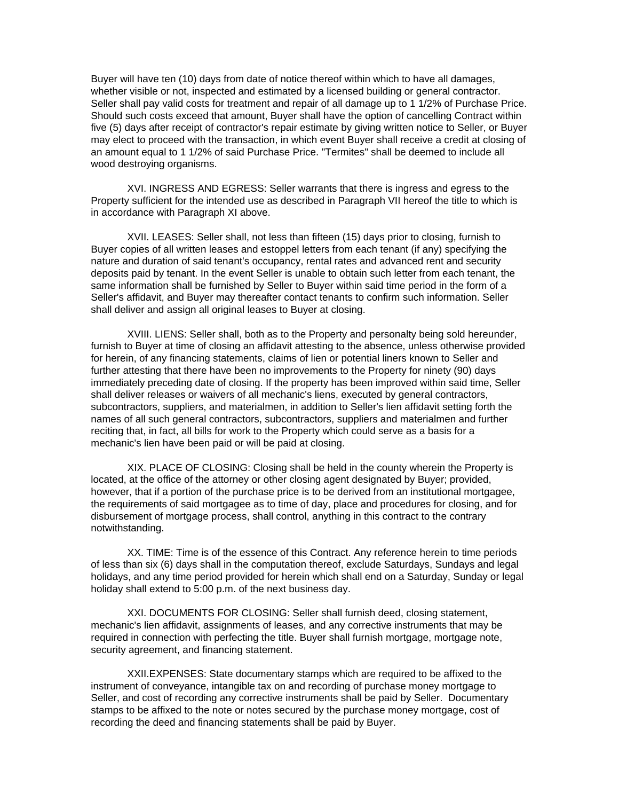Buyer will have ten (10) days from date of notice thereof within which to have all damages, whether visible or not, inspected and estimated by a licensed building or general contractor. Seller shall pay valid costs for treatment and repair of all damage up to 1 1/2% of Purchase Price. Should such costs exceed that amount, Buyer shall have the option of cancelling Contract within five (5) days after receipt of contractor's repair estimate by giving written notice to Seller, or Buyer may elect to proceed with the transaction, in which event Buyer shall receive a credit at closing of an amount equal to 1 1/2% of said Purchase Price. "Termites" shall be deemed to include all wood destroying organisms.

XVI. INGRESS AND EGRESS: Seller warrants that there is ingress and egress to the Property sufficient for the intended use as described in Paragraph VII hereof the title to which is in accordance with Paragraph XI above.

XVII. LEASES: Seller shall, not less than fifteen (15) days prior to closing, furnish to Buyer copies of all written leases and estoppel letters from each tenant (if any) specifying the nature and duration of said tenant's occupancy, rental rates and advanced rent and security deposits paid by tenant. In the event Seller is unable to obtain such letter from each tenant, the same information shall be furnished by Seller to Buyer within said time period in the form of a Seller's affidavit, and Buyer may thereafter contact tenants to confirm such information. Seller shall deliver and assign all original leases to Buyer at closing.

XVIII. LIENS: Seller shall, both as to the Property and personalty being sold hereunder, furnish to Buyer at time of closing an affidavit attesting to the absence, unless otherwise provided for herein, of any financing statements, claims of lien or potential liners known to Seller and further attesting that there have been no improvements to the Property for ninety (90) days immediately preceding date of closing. If the property has been improved within said time, Seller shall deliver releases or waivers of all mechanic's liens, executed by general contractors, subcontractors, suppliers, and materialmen, in addition to Seller's lien affidavit setting forth the names of all such general contractors, subcontractors, suppliers and materialmen and further reciting that, in fact, all bills for work to the Property which could serve as a basis for a mechanic's lien have been paid or will be paid at closing.

XIX. PLACE OF CLOSING: Closing shall be held in the county wherein the Property is located, at the office of the attorney or other closing agent designated by Buyer; provided, however, that if a portion of the purchase price is to be derived from an institutional mortgagee, the requirements of said mortgagee as to time of day, place and procedures for closing, and for disbursement of mortgage process, shall control, anything in this contract to the contrary notwithstanding.

XX. TIME: Time is of the essence of this Contract. Any reference herein to time periods of less than six (6) days shall in the computation thereof, exclude Saturdays, Sundays and legal holidays, and any time period provided for herein which shall end on a Saturday, Sunday or legal holiday shall extend to 5:00 p.m. of the next business day.

XXI. DOCUMENTS FOR CLOSING: Seller shall furnish deed, closing statement, mechanic's lien affidavit, assignments of leases, and any corrective instruments that may be required in connection with perfecting the title. Buyer shall furnish mortgage, mortgage note, security agreement, and financing statement.

XXII.EXPENSES: State documentary stamps which are required to be affixed to the instrument of conveyance, intangible tax on and recording of purchase money mortgage to Seller, and cost of recording any corrective instruments shall be paid by Seller. Documentary stamps to be affixed to the note or notes secured by the purchase money mortgage, cost of recording the deed and financing statements shall be paid by Buyer.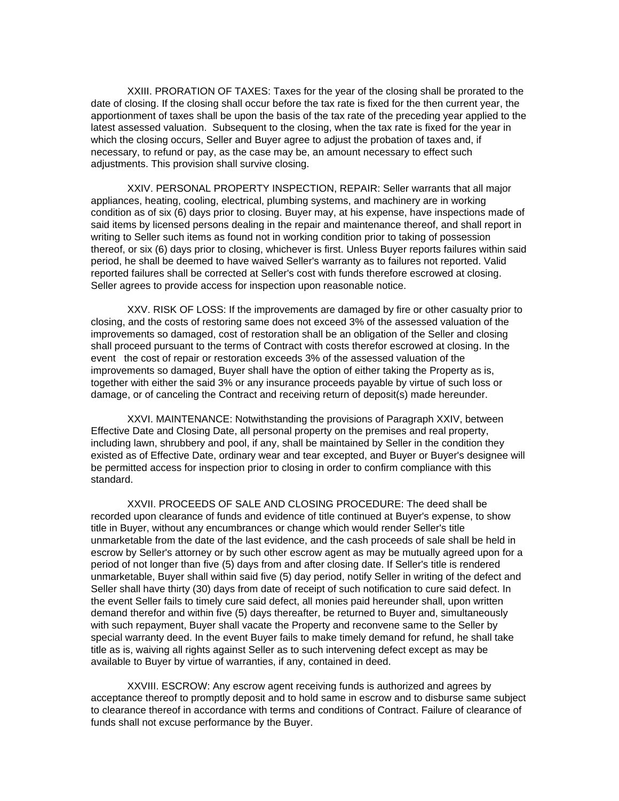XXIII. PRORATION OF TAXES: Taxes for the year of the closing shall be prorated to the date of closing. If the closing shall occur before the tax rate is fixed for the then current year, the apportionment of taxes shall be upon the basis of the tax rate of the preceding year applied to the latest assessed valuation. Subsequent to the closing, when the tax rate is fixed for the year in which the closing occurs, Seller and Buyer agree to adjust the probation of taxes and, if necessary, to refund or pay, as the case may be, an amount necessary to effect such adjustments. This provision shall survive closing.

XXIV. PERSONAL PROPERTY INSPECTION, REPAIR: Seller warrants that all major appliances, heating, cooling, electrical, plumbing systems, and machinery are in working condition as of six (6) days prior to closing. Buyer may, at his expense, have inspections made of said items by licensed persons dealing in the repair and maintenance thereof, and shall report in writing to Seller such items as found not in working condition prior to taking of possession thereof, or six (6) days prior to closing, whichever is first. Unless Buyer reports failures within said period, he shall be deemed to have waived Seller's warranty as to failures not reported. Valid reported failures shall be corrected at Seller's cost with funds therefore escrowed at closing. Seller agrees to provide access for inspection upon reasonable notice.

XXV. RISK OF LOSS: If the improvements are damaged by fire or other casualty prior to closing, and the costs of restoring same does not exceed 3% of the assessed valuation of the improvements so damaged, cost of restoration shall be an obligation of the Seller and closing shall proceed pursuant to the terms of Contract with costs therefor escrowed at closing. In the event the cost of repair or restoration exceeds 3% of the assessed valuation of the improvements so damaged, Buyer shall have the option of either taking the Property as is, together with either the said 3% or any insurance proceeds payable by virtue of such loss or damage, or of canceling the Contract and receiving return of deposit(s) made hereunder.

XXVI. MAINTENANCE: Notwithstanding the provisions of Paragraph XXIV, between Effective Date and Closing Date, all personal property on the premises and real property, including lawn, shrubbery and pool, if any, shall be maintained by Seller in the condition they existed as of Effective Date, ordinary wear and tear excepted, and Buyer or Buyer's designee will be permitted access for inspection prior to closing in order to confirm compliance with this standard.

XXVII. PROCEEDS OF SALE AND CLOSING PROCEDURE: The deed shall be recorded upon clearance of funds and evidence of title continued at Buyer's expense, to show title in Buyer, without any encumbrances or change which would render Seller's title unmarketable from the date of the last evidence, and the cash proceeds of sale shall be held in escrow by Seller's attorney or by such other escrow agent as may be mutually agreed upon for a period of not longer than five (5) days from and after closing date. If Seller's title is rendered unmarketable, Buyer shall within said five (5) day period, notify Seller in writing of the defect and Seller shall have thirty (30) days from date of receipt of such notification to cure said defect. In the event Seller fails to timely cure said defect, all monies paid hereunder shall, upon written demand therefor and within five (5) days thereafter, be returned to Buyer and, simultaneously with such repayment, Buyer shall vacate the Property and reconvene same to the Seller by special warranty deed. In the event Buyer fails to make timely demand for refund, he shall take title as is, waiving all rights against Seller as to such intervening defect except as may be available to Buyer by virtue of warranties, if any, contained in deed.

XXVIII. ESCROW: Any escrow agent receiving funds is authorized and agrees by acceptance thereof to promptly deposit and to hold same in escrow and to disburse same subject to clearance thereof in accordance with terms and conditions of Contract. Failure of clearance of funds shall not excuse performance by the Buyer.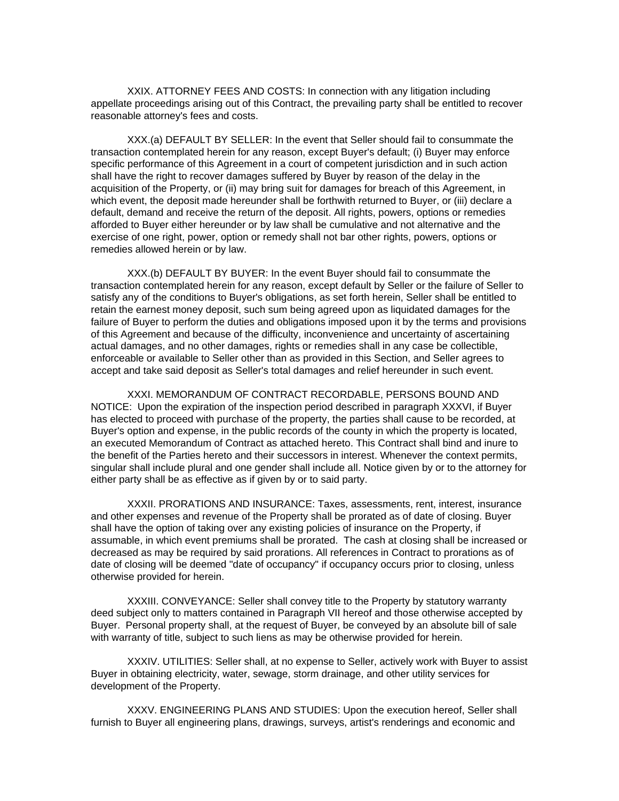XXIX. ATTORNEY FEES AND COSTS: In connection with any litigation including appellate proceedings arising out of this Contract, the prevailing party shall be entitled to recover reasonable attorney's fees and costs.

XXX.(a) DEFAULT BY SELLER: In the event that Seller should fail to consummate the transaction contemplated herein for any reason, except Buyer's default; (i) Buyer may enforce specific performance of this Agreement in a court of competent jurisdiction and in such action shall have the right to recover damages suffered by Buyer by reason of the delay in the acquisition of the Property, or (ii) may bring suit for damages for breach of this Agreement, in which event, the deposit made hereunder shall be forthwith returned to Buyer, or (iii) declare a default, demand and receive the return of the deposit. All rights, powers, options or remedies afforded to Buyer either hereunder or by law shall be cumulative and not alternative and the exercise of one right, power, option or remedy shall not bar other rights, powers, options or remedies allowed herein or by law.

XXX.(b) DEFAULT BY BUYER: In the event Buyer should fail to consummate the transaction contemplated herein for any reason, except default by Seller or the failure of Seller to satisfy any of the conditions to Buyer's obligations, as set forth herein, Seller shall be entitled to retain the earnest money deposit, such sum being agreed upon as liquidated damages for the failure of Buyer to perform the duties and obligations imposed upon it by the terms and provisions of this Agreement and because of the difficulty, inconvenience and uncertainty of ascertaining actual damages, and no other damages, rights or remedies shall in any case be collectible, enforceable or available to Seller other than as provided in this Section, and Seller agrees to accept and take said deposit as Seller's total damages and relief hereunder in such event.

XXXI. MEMORANDUM OF CONTRACT RECORDABLE, PERSONS BOUND AND NOTICE: Upon the expiration of the inspection period described in paragraph XXXVI, if Buyer has elected to proceed with purchase of the property, the parties shall cause to be recorded, at Buyer's option and expense, in the public records of the county in which the property is located, an executed Memorandum of Contract as attached hereto. This Contract shall bind and inure to the benefit of the Parties hereto and their successors in interest. Whenever the context permits, singular shall include plural and one gender shall include all. Notice given by or to the attorney for either party shall be as effective as if given by or to said party.

XXXII. PRORATIONS AND INSURANCE: Taxes, assessments, rent, interest, insurance and other expenses and revenue of the Property shall be prorated as of date of closing. Buyer shall have the option of taking over any existing policies of insurance on the Property, if assumable, in which event premiums shall be prorated. The cash at closing shall be increased or decreased as may be required by said prorations. All references in Contract to prorations as of date of closing will be deemed "date of occupancy" if occupancy occurs prior to closing, unless otherwise provided for herein.

XXXIII. CONVEYANCE: Seller shall convey title to the Property by statutory warranty deed subject only to matters contained in Paragraph VII hereof and those otherwise accepted by Buyer. Personal property shall, at the request of Buyer, be conveyed by an absolute bill of sale with warranty of title, subject to such liens as may be otherwise provided for herein.

XXXIV. UTILITIES: Seller shall, at no expense to Seller, actively work with Buyer to assist Buyer in obtaining electricity, water, sewage, storm drainage, and other utility services for development of the Property.

XXXV. ENGINEERING PLANS AND STUDIES: Upon the execution hereof, Seller shall furnish to Buyer all engineering plans, drawings, surveys, artist's renderings and economic and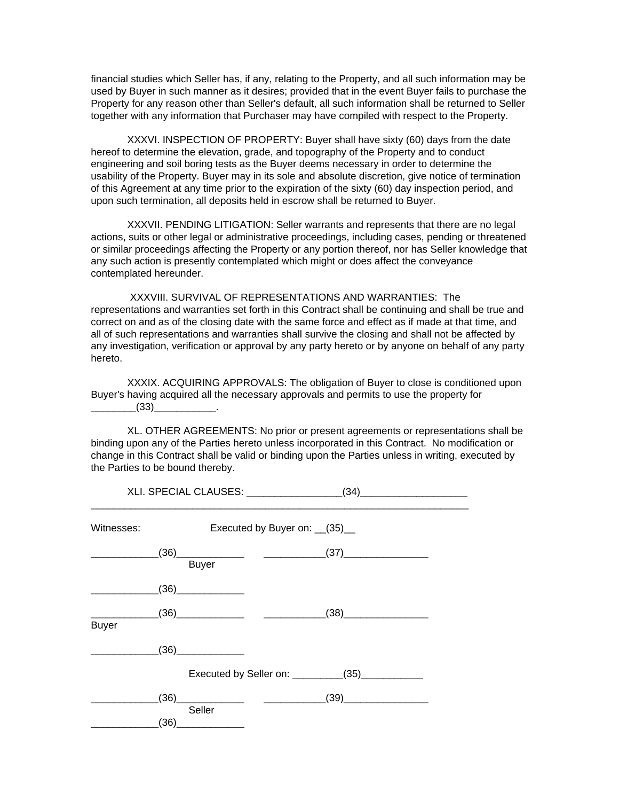financial studies which Seller has, if any, relating to the Property, and all such information may be used by Buyer in such manner as it desires; provided that in the event Buyer fails to purchase the Property for any reason other than Seller's default, all such information shall be returned to Seller together with any information that Purchaser may have compiled with respect to the Property.

XXXVI. INSPECTION OF PROPERTY: Buyer shall have sixty (60) days from the date hereof to determine the elevation, grade, and topography of the Property and to conduct engineering and soil boring tests as the Buyer deems necessary in order to determine the usability of the Property. Buyer may in its sole and absolute discretion, give notice of termination of this Agreement at any time prior to the expiration of the sixty (60) day inspection period, and upon such termination, all deposits held in escrow shall be returned to Buyer.

XXXVII. PENDING LITIGATION: Seller warrants and represents that there are no legal actions, suits or other legal or administrative proceedings, including cases, pending or threatened or similar proceedings affecting the Property or any portion thereof, nor has Seller knowledge that any such action is presently contemplated which might or does affect the conveyance contemplated hereunder.

 XXXVIII. SURVIVAL OF REPRESENTATIONS AND WARRANTIES: The representations and warranties set forth in this Contract shall be continuing and shall be true and correct on and as of the closing date with the same force and effect as if made at that time, and all of such representations and warranties shall survive the closing and shall not be affected by any investigation, verification or approval by any party hereto or by anyone on behalf of any party hereto.

XXXIX. ACQUIRING APPROVALS: The obligation of Buyer to close is conditioned upon Buyer's having acquired all the necessary approvals and permits to use the property for  $(33)$  .

XL. OTHER AGREEMENTS: No prior or present agreements or representations shall be binding upon any of the Parties hereto unless incorporated in this Contract. No modification or change in this Contract shall be valid or binding upon the Parties unless in writing, executed by the Parties to be bound thereby.

| Witnesses:   | Executed by Buyer on: (35) |              |  |                                                   |  |
|--------------|----------------------------|--------------|--|---------------------------------------------------|--|
|              |                            | <b>Buyer</b> |  | $(36) \qquad \qquad (37)$                         |  |
|              |                            | $(36)$       |  |                                                   |  |
| <b>Buyer</b> |                            |              |  | $(38)$                                            |  |
|              |                            | $(36)$       |  |                                                   |  |
|              |                            |              |  | Executed by Seller on: __________(35)____________ |  |
|              |                            |              |  | _(39)_____________________                        |  |
|              | (36)                       | Seller       |  |                                                   |  |

XLI. SPECIAL CLAUSES: \_\_\_\_\_\_\_\_\_\_\_\_\_\_\_\_\_(34)\_\_\_\_\_\_\_\_\_\_\_\_\_\_\_\_\_\_\_